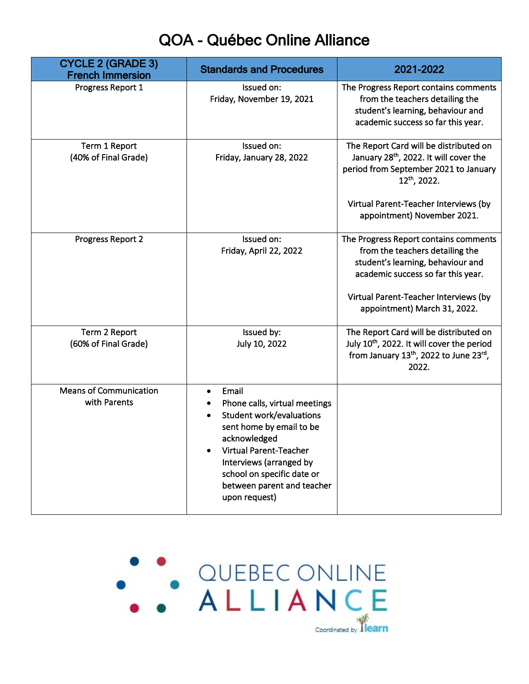## QOA - Québec Online Alliance

| <b>CYCLE 2 (GRADE 3)</b><br><b>French Immersion</b> | <b>Standards and Procedures</b>                                                                                                                                                                                                                         | 2021-2022                                                                                                                                                                                                                                 |
|-----------------------------------------------------|---------------------------------------------------------------------------------------------------------------------------------------------------------------------------------------------------------------------------------------------------------|-------------------------------------------------------------------------------------------------------------------------------------------------------------------------------------------------------------------------------------------|
| Progress Report 1                                   | Issued on:<br>Friday, November 19, 2021                                                                                                                                                                                                                 | The Progress Report contains comments<br>from the teachers detailing the<br>student's learning, behaviour and<br>academic success so far this year.                                                                                       |
| Term 1 Report<br>(40% of Final Grade)               | Issued on:<br>Friday, January 28, 2022                                                                                                                                                                                                                  | The Report Card will be distributed on<br>January 28 <sup>th</sup> , 2022. It will cover the<br>period from September 2021 to January<br>12 <sup>th</sup> , 2022.<br>Virtual Parent-Teacher Interviews (by<br>appointment) November 2021. |
| Progress Report 2                                   | Issued on:<br>Friday, April 22, 2022                                                                                                                                                                                                                    | The Progress Report contains comments<br>from the teachers detailing the<br>student's learning, behaviour and<br>academic success so far this year.<br>Virtual Parent-Teacher Interviews (by<br>appointment) March 31, 2022.              |
| Term 2 Report<br>(60% of Final Grade)               | Issued by:<br>July 10, 2022                                                                                                                                                                                                                             | The Report Card will be distributed on<br>July 10th, 2022. It will cover the period<br>from January 13th, 2022 to June 23rd,<br>2022.                                                                                                     |
| <b>Means of Communication</b><br>with Parents       | Email<br>Phone calls, virtual meetings<br><b>Student work/evaluations</b><br>sent home by email to be<br>acknowledged<br>Virtual Parent-Teacher<br>Interviews (arranged by<br>school on specific date or<br>between parent and teacher<br>upon request) |                                                                                                                                                                                                                                           |